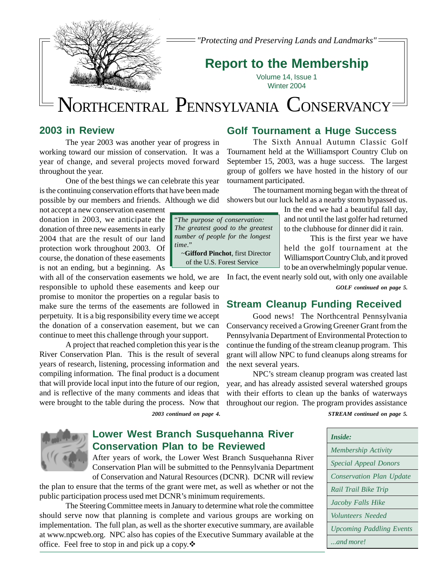

*"Protecting and Preserving Lands and Landmarks"*

## **Report to the Membership**

Volume 14, Issue 1 Winter 2004

# NORTHCENTRAL PENNSYLVANIA CONSERVANCY

### **2003 in Review**

The year 2003 was another year of progress in working toward our mission of conservation. It was a year of change, and several projects moved forward throughout the year.

One of the best things we can celebrate this year is the continuing conservation efforts that have been made possible by our members and friends. Although we did

not accept a new conservation easement donation in 2003, we anticipate the donation of three new easements in early 2004 that are the result of our land protection work throughout 2003. Of course, the donation of these easements is not an ending, but a beginning. As

with all of the conservation easements we hold, we are responsible to uphold these easements and keep our promise to monitor the properties on a regular basis to make sure the terms of the easements are followed in perpetuity. It is a big responsibility every time we accept the donation of a conservation easement, but we can continue to meet this challenge through your support.

A project that reached completion this year is the River Conservation Plan. This is the result of several years of research, listening, processing information and compiling information. The final product is a document that will provide local input into the future of our region, and is reflective of the many comments and ideas that were brought to the table during the process. Now that

*2003 continued on page 4.*



The Sixth Annual Autumn Classic Golf Tournament held at the Williamsport Country Club on September 15, 2003, was a huge success. The largest group of golfers we have hosted in the history of our tournament participated.

The tournament morning began with the threat of showers but our luck held as a nearby storm bypassed us.

> In the end we had a beautiful fall day, and not until the last golfer had returned to the clubhouse for dinner did it rain.

This is the first year we have held the golf tournament at the Williamsport Country Club, and it proved to be an overwhelmingly popular venue.

In fact, the event nearly sold out, with only one available *GOLF continued on page 5.*

### **Stream Cleanup Funding Received**

Good news! The Northcentral Pennsylvania Conservancy received a Growing Greener Grant from the Pennsylvania Department of Environmental Protection to continue the funding of the stream cleanup program. This grant will allow NPC to fund cleanups along streams for the next several years.

NPC's stream cleanup program was created last year, and has already assisted several watershed groups with their efforts to clean up the banks of waterways throughout our region. The program provides assistance

*STREAM continued on page 5.*



### **Lower West Branch Susquehanna River Conservation Plan to be Reviewed**

After years of work, the Lower West Branch Susquehanna River Conservation Plan will be submitted to the Pennsylvania Department of Conservation and Natural Resources (DCNR). DCNR will review

the plan to ensure that the terms of the grant were met, as well as whether or not the public participation process used met DCNR's minimum requirements.

The Steering Committee meets in January to determine what role the committee should serve now that planning is complete and various groups are working on implementation. The full plan, as well as the shorter executive summary, are available at www.npcweb.org. NPC also has copies of the Executive Summary available at the office. Feel free to stop in and pick up a copy. $\ddot{\bullet}$ 

*Inside: Membership Activity Special Appeal Donors Conservation Plan Update Rail Trail Bike Trip Jacoby Falls Hike Volunteers Needed Upcoming Paddling Events ...and more!*



of the U.S. Forest Service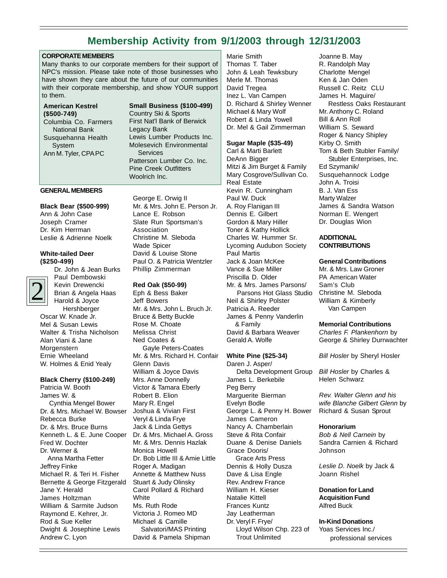### **Membership Activity from 9/1/2003 through 12/31/2003**

#### **CORPORATE MEMBERS**

Many thanks to our corporate members for their support of NPC's mission. Please take note of those businesses who have shown they care about the future of our communities with their corporate membership, and show YOUR support to them.

#### **Small Business (\$100-499)**

Country Ski & Sports First Nat'l Bank of Berwick Legacy Bank Lewis Lumber Products Inc. Molesevich Environmental **Services** Patterson Lumber Co. Inc. Pine Creek Outfitters Woolrich Inc.

#### **GENERAL MEMBERS**

#### **Black Bear (\$500-999)**

Ann & John Case Joseph Cramer Dr. Kim Herrman Leslie & Adrienne Noelk

#### **White-tailed Deer (\$250-499)**



Dr. John & Jean Burks Paul Dembowski Kevin Drewencki Brian & Angela Haas Harold & Joyce Hershberger

Oscar W. Knade Jr. Mel & Susan Lewis Walter & Trisha Nicholson Alan Viani & Jane **Morgenstern** Ernie Wheeland W. Holmes & Enid Yealy

#### **Black Cherry (\$100-249)**

Patricia W. Booth James W. & Cynthia Mengel Bower Dr. & Mrs. Michael W. Bowser Rebecca Burke Dr. & Mrs. Bruce Burns Kenneth L. & E. June Cooper Fred W. Dochter Dr. Werner & Anna Martha Fetter Jeffrey Finke Michael R. & Teri H. Fisher Bernette & George Fitzgerald Jane Y. Herald James Holtzman William & Sarmite Judson Raymond E. Kehrer, Jr. Rod & Sue Keller Dwight & Josephine Lewis Andrew C. Lyon

George E. Orwig II Mr. & Mrs. John E. Person Jr. Lance E. Robson Slate Run Sportsman's **Association** Christine M. Sleboda Wade Spicer David & Louise Stone Paul O. & Patricia Wentzler Phillip Zimmerman

#### **Red Oak (\$50-99)**

Eph & Bess Baker Jeff Bowers Mr. & Mrs. John L. Bruch Jr. Bruce & Betty Buckle Rose M. Choate Melissa Christ Ned Coates & Gayle Peters-Coates Mr. & Mrs. Richard H. Confair Glenn Davis William & Joyce Davis Mrs. Anne Donnelly Victor & Tamara Eberly Robert B. Elion Mary R. Engel Joshua & Vivian First Veryl & Linda Frye Jack & Linda Gettys Dr. & Mrs. Michael A. Gross Mr. & Mrs. Dennis Hazlak Monica Howell Dr. Bob Little III & Amie Little Roger A. Madigan Annette & Matthew Nuss Stuart & Judy Olinsky Carol Pollard & Richard **White** Ms. Ruth Rode Victoria J. Romeo MD Michael & Camille Salvatori/MAS Printing David & Pamela Shipman

Marie Smith Thomas T. Taber John & Leah Tewksbury Merle M. Thomas David Tregea Inez L. Van Campen D. Richard & Shirley Wenner Michael & Mary Wolf Robert & Linda Yowell Dr. Mel & Gail Zimmerman

#### **Sugar Maple (\$35-49)**

Carl & Marti Barlett DeAnn Bigger Mitzi & Jim Burget & Family Mary Cosgrove/Sullivan Co. Real Estate Kevin R. Cunningham Paul W. Duck A. Roy Flanigan III Dennis E. Gilbert Gordon & Mary Hiller Toner & Kathy Hollick Charles W. Hummer Sr. Lycoming Audubon Society Paul Martis Jack & Joan McKee Vance & Sue Miller Priscilla D. Older Mr. & Mrs. James Parsons/ Parsons Hot Glass Studio Neil & Shirley Polster Patricia A. Reeder James & Penny Vanderlin & Family David & Barbara Weaver

#### **White Pine (\$25-34)**

Gerald A. Wolfe

Daren J. Asper/ Delta Development Group James L. Berkebile Peg Berry Marguerite Bierman Evelyn Bodle George L. & Penny H. Bower James Cameron Nancy A. Chamberlain Steve & Rita Confair Duane & Denise Daniels Grace Dooris/ Grace Arts Press Dennis & Holly Dusza Dave & Lisa Engle Rev. Andrew France William H. Kieser Natalie Kittell Frances Kuntz Jay Leatherman Dr. Veryl F. Frye/ Lloyd Wilson Chp. 223 of Trout Unlimited

Joanne B. May R. Randolph May Charlotte Mengel Ken & Jan Oden Russell C. Reitz CLU James H. Maguire/ Restless Oaks Restaurant Mr. Anthony C. Roland Bill & Ann Roll William S. Seward Roger & Nancy Shipley Kirby O. Smith Tom & Beth Stubler Family/ Stubler Enterprises, Inc. Ed Szymanik/ Susquehannock Lodge John A. Troisi B. J. Van Ess Marty Walzer James & Sandra Watson Norman E. Wengert Dr. Douglas Wion

#### **ADDITIONAL CONTRIBUTIONS**

#### **General Contributions**

Mr. & Mrs. Law Groner PA American Water Sam's Club Christine M. Sleboda William & Kimberly Van Campen

#### **Memorial Contributions**

*Charles F. Plankenhorn* by George & Shirley Durrwachter

*Bill Hosler* by Sheryl Hosler

*Bill Hosler* by Charles & Helen Schwarz

*Rev. Walter Glenn and his wife Blanche Gilbert Glenn* by Richard & Susan Sprout

#### **Honorarium**

*Bob & Nell Carnein* by Sandra Carnien & Richard Johnson

*Leslie D. Noelk* by Jack & Joann Rishel

**Donation for Land Acquisition Fund** Alfred Buck

#### **In-Kind Donations**

Yoas Services Inc./ professional services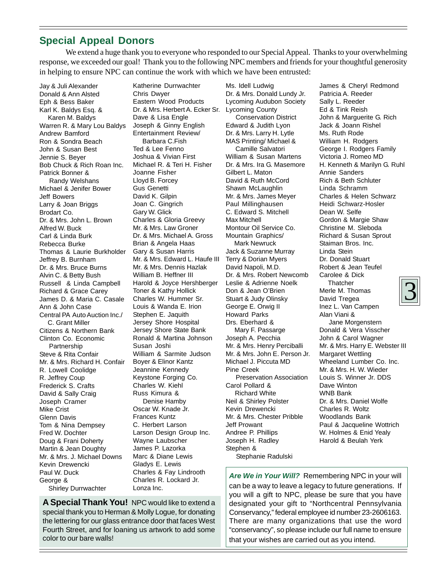### **Special Appeal Donors**

We extend a huge thank you to everyone who responded to our Special Appeal. Thanks to your overwhelming response, we exceeded our goal! Thank you to the following NPC members and friends for your thoughtful generosity in helping to ensure NPC can continue the work with which we have been entrusted:

Jay & Juli Alexander Donald & Ann Alsted Eph & Bess Baker Karl K. Baldys Esq. & Karen M. Baldys Warren R. & Mary Lou Baldys Andrew Bamford Ron & Sondra Beach John & Susan Best Jennie S. Beyer Bob Chuck & Rich Roan Inc. Patrick Bonner & Randy Welshans Michael & Jenifer Bower Jeff Bowers Larry & Joan Briggs Brodart Co. Dr. & Mrs. John L. Brown Alfred W. Buck Carl & Linda Burk Rebecca Burke Thomas & Laurie Burkholder Jeffrey B. Burnham Dr. & Mrs. Bruce Burns Alvin C. & Betty Bush Russell & Linda Campbell Richard & Grace Carey James D. & Maria C. Casale Ann & John Case Central PA Auto Auction Inc./ C. Grant Miller Citizens & Northern Bank Clinton Co. Economic Partnership Steve & Rita Confair Mr. & Mrs. Richard H. Confair R. Lowell Coolidge R. Jeffrey Coup Frederick S. Crafts David & Sally Craig Joseph Cramer Mike Crist Glenn Davis Tom & Nina Dempsey Fred W. Dochter Doug & Frani Doherty Martin & Jean Doughty Mr. & Mrs. J. Michael Downs Kevin Drewencki Paul W. Duck George & Shirley Durrwachter

Katherine Durrwachter Chris Dwyer Eastern Wood Products Dr. & Mrs. Herbert A. Ecker Sr. Dave & Lisa Engle Joseph & Ginny English Entertainment Review/ Barbara C.Fish Ted & Lee Fenno Joshua & Vivian First Michael R. & Teri H. Fisher Joanne Fisher Lloyd B. Forcey Gus Genetti David K. Gilpin Joan C. Gingrich Gary W. Glick Charles & Gloria Greevy Mr. & Mrs. Law Groner Dr. & Mrs. Michael A. Gross Brian & Angela Haas Gary & Susan Harris Mr. & Mrs. Edward L. Haufe III Mr. & Mrs. Dennis Hazlak William B. Heffner III Harold & Joyce Hershberger Toner & Kathy Hollick Charles W. Hummer Sr. Louis & Wanda E. Irion Stephen E. Jaquith Jersey Shore Hospital Jersey Shore State Bank Ronald & Martina Johnson Susan Joshi William & Sarmite Judson Boyer & Elinor Kantz Jeannine Kennedy Keystone Forging Co. Charles W. Kiehl Russ Kimura & Denise Hamby Oscar W. Knade Jr. Frances Kuntz C. Herbert Larson Larson Design Group Inc. Wayne Laubscher James P. Lazorka Marc & Diane Lewis Gladys E. Lewis Charles & Fay Lindrooth Charles R. Lockard Jr. Lonza Inc.

**A Special Thank You!** NPC would like to extend a special thank you to Herman & Molly Logue, for donating the lettering for our glass entrance door that faces West Fourth Street, and for loaning us artwork to add some color to our bare walls!

Ms. Idell Ludwig Dr. & Mrs. Donald Lundy Jr. Lycoming Audubon Society Lycoming County Conservation District Edward & Judith Lyon Dr. & Mrs. Larry H. Lytle MAS Printing/ Michael & Camille Salvatori William & Susan Martens Dr. & Mrs. Ira G. Masemore Gilbert L. Maton David & Ruth McCord Shawn McLaughlin Mr. & Mrs. James Meyer Paul Millinghausen C. Edward S. Mitchell Max Mitchell Montour Oil Service Co. Mountain Graphics/ Mark Newruck Jack & Suzanne Murray Terry & Dorian Myers David Napoli, M.D. Dr. & Mrs. Robert Newcomb Leslie & Adrienne Noelk Don & Jean O'Brien Stuart & Judy Olinsky George E. Orwig II Howard Parks Drs. Eberhard & Mary F. Passarge Joseph A. Pecchia Mr. & Mrs. Henry Perciballi Mr. & Mrs. John E. Person Jr. Michael J. Piccuta MD Pine Creek Preservation Association Carol Pollard & Richard White Neil & Shirley Polster Kevin Drewencki Mr. & Mrs. Chester Pribble Jeff Prowant Andree P. Phillips Joseph H. Radley Stephen & Stephanie Radulski

James & Cheryl Redmond Patricia A. Reeder Sally L. Reeder Ed & Tink Reish John & Marguerite G. Rich Jack & Joann Rishel Ms. Ruth Rode William H. Rodgers George I. Rodgers Family Victoria J. Romeo MD H. Kenneth & Marilyn G. Ruhl Annie Sanders Rich & Beth Schluter Linda Schramm Charles & Helen Schwarz Heidi Schwarz-Hosler Dean W. Selfe Gordon & Margie Shaw Christine M. Sleboda Richard & Susan Sprout Staiman Bros. Inc. Linda Stein Dr. Donald Stuart Robert & Jean Teufel Carolee & Dick **Thatcher** Merle M. Thomas David Tregea Inez L. Van Campen Alan Viani & Jane Morgenstern Donald & Vera Visscher John & Carol Wagner Mr. & Mrs. Harry E. Webster III Margaret Wettling Wheeland Lumber Co. Inc. Mr. & Mrs. H. W. Wieder Louis S. Winner Jr. DDS Dave Winton WNB Bank Dr. & Mrs. Daniel Wolfe Charles R. Woltz Woodlands Bank Paul & Jacqueline Wottrich W. Holmes & Enid Yealy Harold & Beulah Yerk

Are We in Your Will? Remembering NPC in your will can be a way to leave a legacy to future generations. If you will a gift to NPC, please be sure that you have designated your gift to "Northcentral Pennsylvania Conservancy," federal employee id number 23-2606163. There are many organizations that use the word "conservancy", so please include our full name to ensure that your wishes are carried out as you intend.

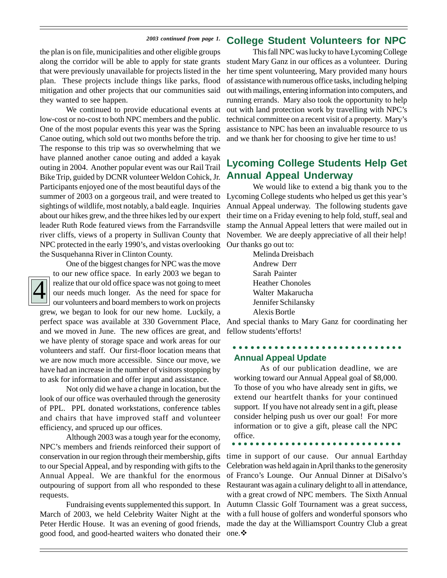#### *2003 continued from page 1.* **College Student Volunteers for NPC**

the plan is on file, municipalities and other eligible groups along the corridor will be able to apply for state grants that were previously unavailable for projects listed in the plan. These projects include things like parks, flood mitigation and other projects that our communities said they wanted to see happen.

We continued to provide educational events at low-cost or no-cost to both NPC members and the public. One of the most popular events this year was the Spring Canoe outing, which sold out two months before the trip. The response to this trip was so overwhelming that we have planned another canoe outing and added a kayak outing in 2004. Another popular event was our Rail Trail Bike Trip, guided by DCNR volunteer Weldon Cohick, Jr. Participants enjoyed one of the most beautiful days of the summer of 2003 on a gorgeous trail, and were treated to Lycoming College students who helped us get this year's sightings of wildlife, most notably, a bald eagle. Inquiries about our hikes grew, and the three hikes led by our expert leader Ruth Rode featured views from the Farrandsville river cliffs, views of a property in Sullivan County that NPC protected in the early 1990's, and vistas overlooking the Susquehanna River in Clinton County.

# 4

One of the biggest changes for NPC was the move to our new office space. In early 2003 we began to realize that our old office space was not going to meet our needs much longer. As the need for space for our volunteers and board members to work on projects grew, we began to look for our new home. Luckily, a

perfect space was available at 330 Government Place, and we moved in June. The new offices are great, and we have plenty of storage space and work areas for our volunteers and staff. Our first-floor location means that we are now much more accessible. Since our move, we have had an increase in the number of visitors stopping by to ask for information and offer input and assistance.

Not only did we have a change in location, but the look of our office was overhauled through the generosity of PPL. PPL donated workstations, conference tables and chairs that have improved staff and volunteer efficiency, and spruced up our offices.

Although 2003 was a tough year for the economy, NPC's members and friends reinforced their support of conservation in our region through their membership, gifts to our Special Appeal, and by responding with gifts to the Annual Appeal. We are thankful for the enormous outpouring of support from all who responded to these requests.

Fundraising events supplemented this support. In March of 2003, we held Celebrity Waiter Night at the Peter Herdic House. It was an evening of good friends, good food, and good-hearted waiters who donated their

This fall NPC was lucky to have Lycoming College student Mary Ganz in our offices as a volunteer. During her time spent volunteering, Mary provided many hours of assistance with numerous office tasks, including helping out with mailings, entering information into computers, and running errands. Mary also took the opportunity to help out with land protection work by travelling with NPC's technical committee on a recent visit of a property. Mary's assistance to NPC has been an invaluable resource to us and we thank her for choosing to give her time to us!

### **Lycoming College Students Help Get Annual Appeal Underway**

We would like to extend a big thank you to the Annual Appeal underway. The following students gave their time on a Friday evening to help fold, stuff, seal and stamp the Annual Appeal letters that were mailed out in November. We are deeply appreciative of all their help! Our thanks go out to:

> Melinda Dreisbach Andrew Derr Sarah Painter Heather Chonoles Walter Makarucha Jennifer Schilansky Alexis Bortle

And special thanks to Mary Ganz for coordinating her fellow students'efforts!

#### **Annual Appeal Update** ○○○○○○○○○○○○ ○○○○○○○○○○○○○○○○○

As of our publication deadline, we are working toward our Annual Appeal goal of \$8,000. To those of you who have already sent in gifts, we extend our heartfelt thanks for your continued support. If you have not already sent in a gift, please consider helping push us over our goal! For more information or to give a gift, please call the NPC office.

○○○○○○○○○○○○○ ○○○○○○○○○○○○○○○○

time in support of our cause. Our annual Earthday Celebration was held again in April thanks to the generosity of Franco's Lounge. Our Annual Dinner at DiSalvo's Restaurant was again a culinary delight to all in attendance, with a great crowd of NPC members. The Sixth Annual Autumn Classic Golf Tournament was a great success, with a full house of golfers and wonderful sponsors who made the day at the Williamsport Country Club a great one.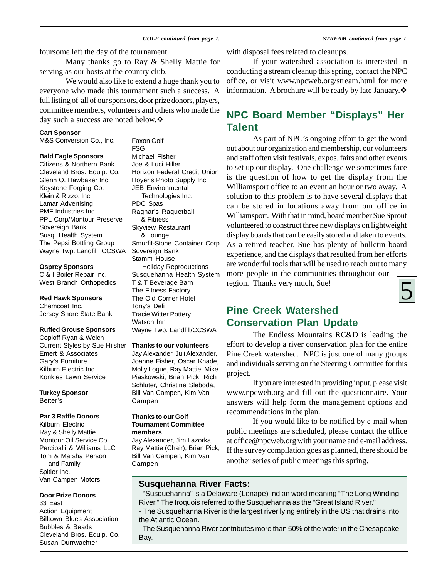#### *GOLF continued from page 1. STREAM continued from page 1.*

foursome left the day of the tournament.

Many thanks go to Ray & Shelly Mattie for serving as our hosts at the country club.

We would also like to extend a huge thank you to everyone who made this tournament such a success. A full listing of all of our sponsors, door prize donors, players, committee members, volunteers and others who made the day such a success are noted below. ❖

#### **Cart Sponsor**

M&S Conversion Co., Inc.

#### **Bald Eagle Sponsors**

Citizens & Northern Bank Cleveland Bros. Equip. Co. Glenn O. Hawbaker Inc. Keystone Forging Co. Klein & Rizzo, Inc. Lamar Advertising PMF Industries Inc. PPL Corp/Montour Preserve Sovereign Bank Susq. Health System The Pepsi Bottling Group Wayne Twp. Landfill CCSWA

#### **Osprey Sponsors**

C & I Boiler Repair Inc. West Branch Orthopedics

#### **Red Hawk Sponsors**

Chemcoat Inc. Jersey Shore State Bank

#### **Ruffed Grouse Sponsors**

Coploff Ryan & Welch Current Styles by Sue Hilsher Emert & Associates Gary's Furniture Kilburn Electric Inc. Konkles Lawn Service

### **Turkey Sponsor**

Beiter's

#### **Par 3 Raffle Donors**

Kilburn Electric Ray & Shelly Mattie Montour Oil Service Co. Perciballi & Williams LLC Tom & Marsha Person and Family Spitler Inc. Van Campen Motors

#### **Door Prize Donors**

33 East Action Equipment Billtown Blues Association Bubbles & Beads Cleveland Bros. Equip. Co. Susan Durrwachter

Faxon Golf FSG Michael Fisher Joe & Luci Hiller Horizon Federal Credit Union Hoyer's Photo Supply Inc. JEB Environmental Technologies Inc. PDC Spas Ragnar's Raquetball & Fitness Skyview Restaurant & Lounge Smurfit-Stone Container Corp. Sovereign Bank Stamm House Holiday Reproductions Susquehanna Health System T & T Beverage Barn The Fitness Factory The Old Corner Hotel Tony's Deli Tracie Witter Pottery Watson Inn Wayne Twp. Landfill/CCSWA

#### **Thanks to our volunteers**

Jay Alexander, Juli Alexander, Joanne Fisher, Oscar Knade, Molly Logue, Ray Mattie, Mike Piaskowski, Brian Pick, Rich Schluter, Christine Sleboda, Bill Van Campen, Kim Van Campen

#### **Thanks to our Golf Tournament Committee members**

Jay Alexander, Jim Lazorka, Ray Mattie (Chair), Brian Pick, Bill Van Campen, Kim Van Campen

with disposal fees related to cleanups.

If your watershed association is interested in conducting a stream cleanup this spring, contact the NPC office, or visit www.npcweb.org/stream.html for more information. A brochure will be ready by late January.  $\mathbf{\hat{\cdot}}$ 

### **NPC Board Member "Displays" Her Talent**

As part of NPC's ongoing effort to get the word out about our organization and membership, our volunteers and staff often visit festivals, expos, fairs and other events to set up our display. One challenge we sometimes face is the question of how to get the display from the Williamsport office to an event an hour or two away. A solution to this problem is to have several displays that can be stored in locations away from our office in Williamsport. With that in mind, board member Sue Sprout volunteered to construct three new displays on lightweight display boards that can be easily stored and taken to events. As a retired teacher, Sue has plenty of bulletin board experience, and the displays that resulted from her efforts are wonderful tools that will be used to reach out to many more people in the communities throughout our region. Thanks very much, Sue!



### **Pine Creek Watershed Conservation Plan Update**

The Endless Mountains RC&D is leading the effort to develop a river conservation plan for the entire Pine Creek watershed. NPC is just one of many groups and individuals serving on the Steering Committee for this project.

If you are interested in providing input, please visit www.npcweb.org and fill out the questionnaire. Your answers will help form the management options and recommendations in the plan.

If you would like to be notified by e-mail when public meetings are scheduled, please contact the office at office@npcweb.org with your name and e-mail address. If the survey compilation goes as planned, there should be another series of public meetings this spring.

#### **Susquehanna River Facts:**

- "Susquehanna" is a Delaware (Lenape) Indian word meaning "The Long Winding River." The Iroquois referred to the Susquehanna as the "Great Island River."

- The Susquehanna River is the largest river lying entirely in the US that drains into the Atlantic Ocean.

- The Susquehanna River contributes more than 50% of the water in the Chesapeake Bay.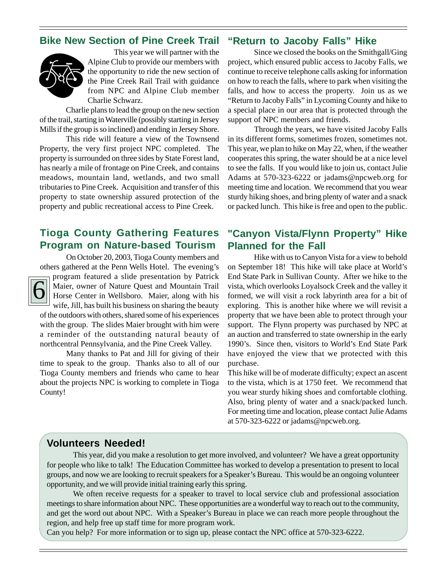### **Bike New Section of Pine Creek Trail**



This year we will partner with the Alpine Club to provide our members with the opportunity to ride the new section of the Pine Creek Rail Trail with guidance from NPC and Alpine Club member Charlie Schwarz.

Charlie plans to lead the group on the new section of the trail, starting in Waterville (possibly starting in Jersey Mills if the group is so inclined) and ending in Jersey Shore.

This ride will feature a view of the Townsend Property, the very first project NPC completed. The property is surrounded on three sides by State Forest land, has nearly a mile of frontage on Pine Creek, and contains meadows, mountain land, wetlands, and two small tributaries to Pine Creek. Acquisition and transfer of this property to state ownership assured protection of the property and public recreational access to Pine Creek.

### **Tioga County Gathering Features Program on Nature-based Tourism**

On October 20, 2003, Tioga County members and others gathered at the Penn Wells Hotel. The evening's



program featured a slide presentation by Patrick Maier, owner of Nature Quest and Mountain Trail Horse Center in Wellsboro. Maier, along with his wife, Jill, has built his business on sharing the beauty

of the outdoors with others, shared some of his experiences with the group. The slides Maier brought with him were a reminder of the outstanding natural beauty of northcentral Pennsylvania, and the Pine Creek Valley.

Many thanks to Pat and Jill for giving of their time to speak to the group. Thanks also to all of our Tioga County members and friends who came to hear about the projects NPC is working to complete in Tioga County!

### **"Return to Jacoby Falls" Hike**

Since we closed the books on the Smithgall/Ging project, which ensured public access to Jacoby Falls, we continue to receive telephone calls asking for information on how to reach the falls, where to park when visiting the falls, and how to access the property. Join us as we "Return to Jacoby Falls" in Lycoming County and hike to a special place in our area that is protected through the support of NPC members and friends.

Through the years, we have visited Jacoby Falls in its different forms, sometimes frozen, sometimes not. This year, we plan to hike on May 22, when, if the weather cooperates this spring, the water should be at a nice level to see the falls. If you would like to join us, contact Julie Adams at 570-323-6222 or jadams@npcweb.org for meeting time and location. We recommend that you wear sturdy hiking shoes, and bring plenty of water and a snack or packed lunch. This hike is free and open to the public.

### **"Canyon Vista/Flynn Property" Hike Planned for the Fall**

Hike with us to Canyon Vista for a view to behold on September 18! This hike will take place at World's End State Park in Sullivan County. After we hike to the vista, which overlooks Loyalsock Creek and the valley it formed, we will visit a rock labyrinth area for a bit of exploring. This is another hike where we will revisit a property that we have been able to protect through your support. The Flynn property was purchased by NPC at an auction and transferred to state ownership in the early 1990's. Since then, visitors to World's End State Park have enjoyed the view that we protected with this purchase.

This hike will be of moderate difficulty; expect an ascent to the vista, which is at 1750 feet. We recommend that you wear sturdy hiking shoes and comfortable clothing. Also, bring plenty of water and a snack/packed lunch. For meeting time and location, please contact Julie Adams at 570-323-6222 or jadams@npcweb.org.

### **Volunteers Needed!**

This year, did you make a resolution to get more involved, and volunteer? We have a great opportunity for people who like to talk! The Education Committee has worked to develop a presentation to present to local groups, and now we are looking to recruit speakers for a Speaker's Bureau. This would be an ongoing volunteer opportunity, and we will provide initial training early this spring.

We often receive requests for a speaker to travel to local service club and professional association meetings to share information about NPC. These opportunities are a wonderful way to reach out to the community, and get the word out about NPC. With a Speaker's Bureau in place we can reach more people throughout the region, and help free up staff time for more program work.

Can you help? For more information or to sign up, please contact the NPC office at 570-323-6222.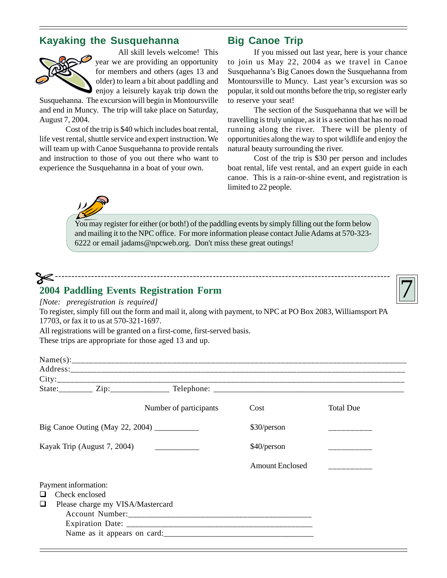### **Kayaking the Susquehanna**



All skill levels welcome! This year we are providing an opportunity for members and others (ages 13 and older) to learn a bit about paddling and enjoy a leisurely kayak trip down the

Susquehanna. The excursion will begin in Montoursville and end in Muncy. The trip will take place on Saturday, August 7, 2004.

Cost of the trip is \$40 which includes boat rental, life vest rental, shuttle service and expert instruction. We will team up with Canoe Susquehanna to provide rentals and instruction to those of you out there who want to experience the Susquehanna in a boat of your own.

### **Big Canoe Trip**

If you missed out last year, here is your chance to join us May 22, 2004 as we travel in Canoe Susquehanna's Big Canoes down the Susquehanna from Montoursville to Muncy. Last year's excursion was so popular, it sold out months before the trip, so register early to reserve your seat!

The section of the Susquehanna that we will be travelling is truly unique, as it is a section that has no road running along the river. There will be plenty of opportunities along the way to spot wildlife and enjoy the natural beauty surrounding the river.

Cost of the trip is \$30 per person and includes boat rental, life vest rental, and an expert guide in each canoe. This is a rain-or-shine event, and registration is limited to 22 people.

You may register for either (or both!) of the paddling events by simply filling out the form below and mailing it to the NPC office. For more information please contact Julie Adams at 570-323- 6222 or email jadams@npcweb.org. Don't miss these great outings!

# 7 ------------------------------------------------------------------------------------------------------ **2004 Paddling Events Registration Form**



*[Note: preregistration is required]*

To register, simply fill out the form and mail it, along with payment, to NPC at PO Box 2083, Williamsport PA 17703, or fax it to us at 570-321-1697.

All registrations will be granted on a first-come, first-served basis.

These trips are appropriate for those aged 13 and up.

|                                 |                                                    | Number of participants | Cost                   | <b>Total Due</b> |
|---------------------------------|----------------------------------------------------|------------------------|------------------------|------------------|
| Big Canoe Outing (May 22, 2004) |                                                    |                        | \$30/person            |                  |
| Kayak Trip (August 7, 2004)     |                                                    |                        | \$40/person            |                  |
|                                 |                                                    |                        | <b>Amount Enclosed</b> |                  |
| Payment information:<br>❏       | Check enclosed<br>Please charge my VISA/Mastercard |                        |                        |                  |